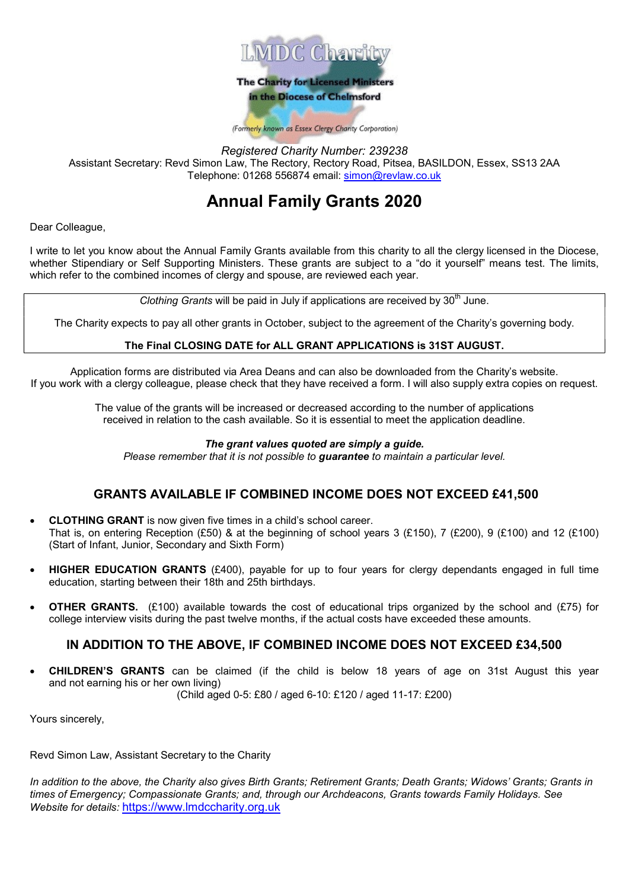

Registered Charity Number: 239238 Assistant Secretary: Revd Simon Law, The Rectory, Rectory Road, Pitsea, BASILDON, Essex, SS13 2AA Telephone: 01268 556874 email: simon@revlaw.co.uk

# Annual Family Grants 2020

Dear Colleague,

I write to let you know about the Annual Family Grants available from this charity to all the clergy licensed in the Diocese, whether Stipendiary or Self Supporting Ministers. These grants are subject to a "do it yourself" means test. The limits, which refer to the combined incomes of clergy and spouse, are reviewed each year.

Clothing Grants will be paid in July if applications are received by  $30<sup>th</sup>$  June.

The Charity expects to pay all other grants in October, subject to the agreement of the Charity's governing body.

#### The Final CLOSING DATE for ALL GRANT APPLICATIONS is 31ST AUGUST.

Application forms are distributed via Area Deans and can also be downloaded from the Charity's website. If you work with a clergy colleague, please check that they have received a form. I will also supply extra copies on request.

> The value of the grants will be increased or decreased according to the number of applications received in relation to the cash available. So it is essential to meet the application deadline.

#### The grant values quoted are simply a quide.

Please remember that it is not possible to **quarantee** to maintain a particular level.

### GRANTS AVAILABLE IF COMBINED INCOME DOES NOT EXCEED £41,500

- CLOTHING GRANT is now given five times in a child's school career. That is, on entering Reception (£50) & at the beginning of school years 3 (£150), 7 (£200), 9 (£100) and 12 (£100) (Start of Infant, Junior, Secondary and Sixth Form)
- HIGHER EDUCATION GRANTS (£400), payable for up to four years for clergy dependants engaged in full time education, starting between their 18th and 25th birthdays.
- **OTHER GRANTS.** (£100) available towards the cost of educational trips organized by the school and (£75) for college interview visits during the past twelve months, if the actual costs have exceeded these amounts.

### IN ADDITION TO THE ABOVE, IF COMBINED INCOME DOES NOT EXCEED £34,500

 CHILDREN'S GRANTS can be claimed (if the child is below 18 years of age on 31st August this year and not earning his or her own living)

(Child aged 0-5: £80 / aged 6-10: £120 / aged 11-17: £200)

Yours sincerely,

Revd Simon Law, Assistant Secretary to the Charity

In addition to the above, the Charity also gives Birth Grants; Retirement Grants; Death Grants; Widows' Grants; Grants in times of Emergency; Compassionate Grants; and, through our Archdeacons, Grants towards Family Holidays. See Website for details: https://www.lmdccharity.org.uk